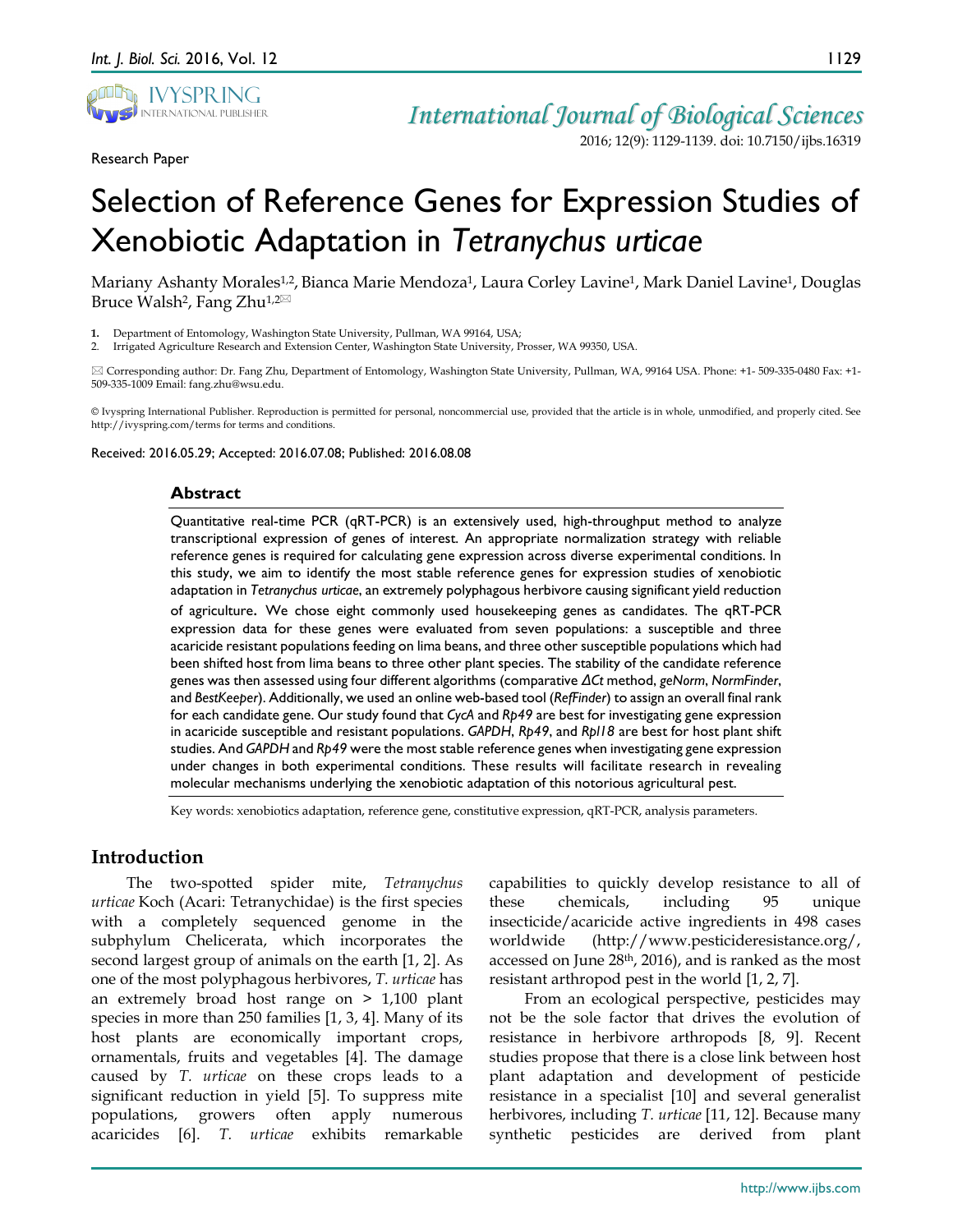

Research Paper

*International Journal of Biological Sciences*

2016; 12(9): 1129-1139. doi: 10.7150/ijbs.16319

# Selection of Reference Genes for Expression Studies of Xenobiotic Adaptation in *Tetranychus urticae*

Mariany Ashanty Morales<sup>1,2</sup>, Bianca Marie Mendoza<sup>1</sup>, Laura Corley Lavine<sup>1</sup>, Mark Daniel Lavine<sup>1</sup>, Douglas Bruce Walsh<sup>2</sup>, Fang Zhu<sup>1,2 $\boxtimes$ </sup>

**1.** Department of Entomology, Washington State University, Pullman, WA 99164, USA;

2. Irrigated Agriculture Research and Extension Center, Washington State University, Prosser, WA 99350, USA.

 Corresponding author: Dr. Fang Zhu, Department of Entomology, Washington State University, Pullman, WA, 99164 USA. Phone: +1- 509-335-0480 Fax: +1- 509-335-1009 Email: fang.zhu@wsu.edu.

© Ivyspring International Publisher. Reproduction is permitted for personal, noncommercial use, provided that the article is in whole, unmodified, and properly cited. See http://ivyspring.com/terms for terms and conditions.

Received: 2016.05.29; Accepted: 2016.07.08; Published: 2016.08.08

#### **Abstract**

Quantitative real-time PCR (qRT-PCR) is an extensively used, high-throughput method to analyze transcriptional expression of genes of interest. An appropriate normalization strategy with reliable reference genes is required for calculating gene expression across diverse experimental conditions. In this study, we aim to identify the most stable reference genes for expression studies of xenobiotic adaptation in *Tetranychus urticae*, an extremely polyphagous herbivore causing significant yield reduction

of agriculture. We chose eight commonly used housekeeping genes as candidates. The qRT-PCR expression data for these genes were evaluated from seven populations: a susceptible and three acaricide resistant populations feeding on lima beans, and three other susceptible populations which had been shifted host from lima beans to three other plant species. The stability of the candidate reference genes was then assessed using four different algorithms (comparative *ΔCt* method, *geNorm*, *NormFinder*, and *BestKeeper*). Additionally, we used an online web-based tool (*RefFinder*) to assign an overall final rank for each candidate gene. Our study found that *CycA* and *Rp49* are best for investigating gene expression in acaricide susceptible and resistant populations. *GAPDH*, *Rp49*, and *Rpl18* are best for host plant shift studies. And *GAPDH* and *Rp49* were the most stable reference genes when investigating gene expression under changes in both experimental conditions. These results will facilitate research in revealing molecular mechanisms underlying the xenobiotic adaptation of this notorious agricultural pest.

Key words: xenobiotics adaptation, reference gene, constitutive expression, qRT-PCR, analysis parameters.

# **Introduction**

The two-spotted spider mite, *Tetranychus urticae* Koch (Acari: Tetranychidae) is the first species with a completely sequenced genome in the subphylum Chelicerata, which incorporates the second largest group of animals on the earth [1, 2]. As one of the most polyphagous herbivores, *T. urticae* has an extremely broad host range on > 1,100 plant species in more than 250 families [1, 3, 4]. Many of its host plants are economically important crops, ornamentals, fruits and vegetables [4]. The damage caused by *T. urticae* on these crops leads to a significant reduction in yield [5]. To suppress mite populations, growers often apply numerous acaricides [6]. *T. urticae* exhibits remarkable

capabilities to quickly develop resistance to all of these chemicals, including 95 unique insecticide/acaricide active ingredients in 498 cases worldwide (http://www.pesticideresistance.org/, accessed on June 28th, 2016), and is ranked as the most resistant arthropod pest in the world [1, 2, 7].

From an ecological perspective, pesticides may not be the sole factor that drives the evolution of resistance in herbivore arthropods [8, 9]. Recent studies propose that there is a close link between host plant adaptation and development of pesticide resistance in a specialist [10] and several generalist herbivores, including *T. urticae* [11, 12]. Because many synthetic pesticides are derived from plant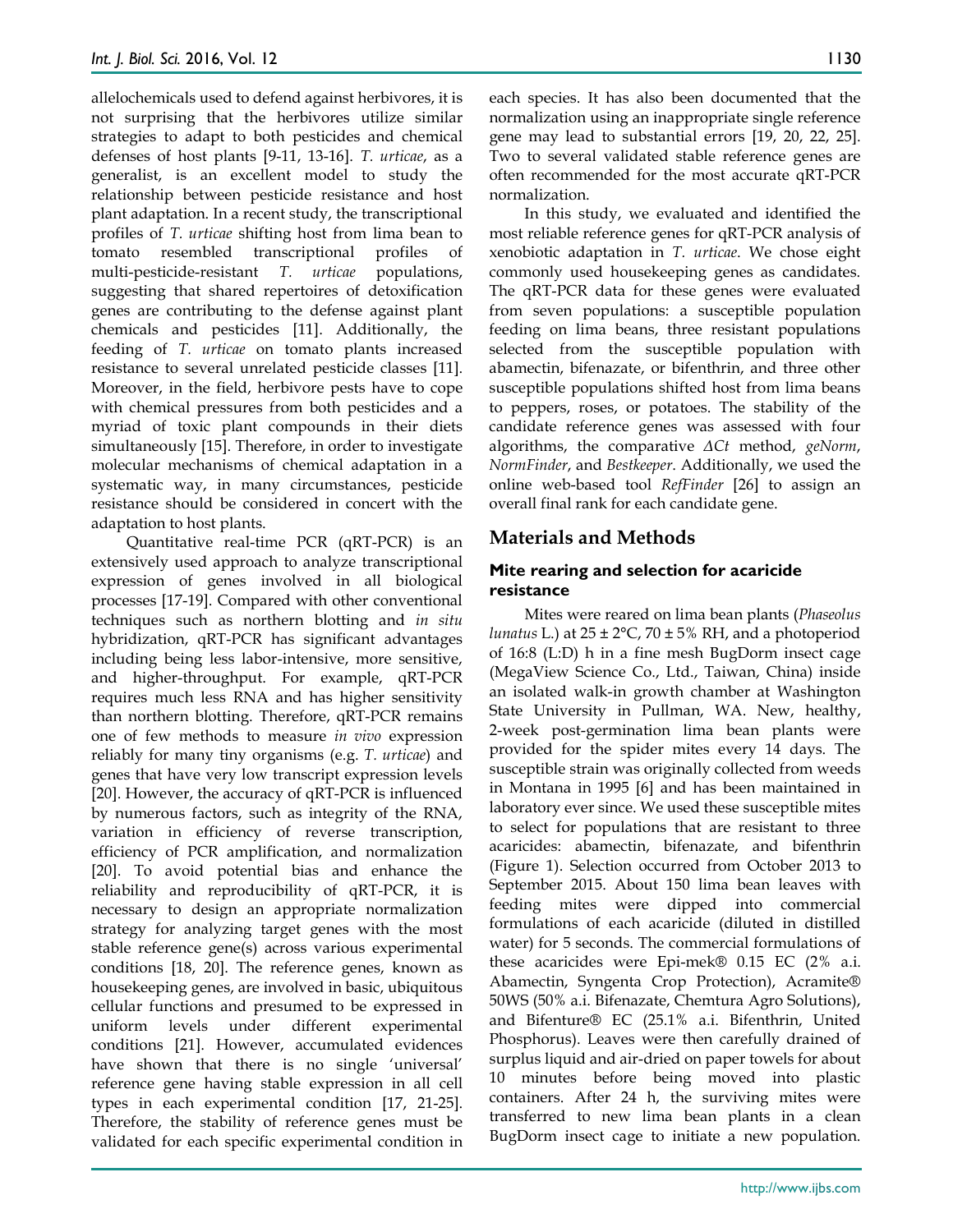allelochemicals used to defend against herbivores, it is not surprising that the herbivores utilize similar strategies to adapt to both pesticides and chemical defenses of host plants [9-11, 13-16]. *T. urticae*, as a generalist, is an excellent model to study the relationship between pesticide resistance and host plant adaptation. In a recent study, the transcriptional profiles of *T. urticae* shifting host from lima bean to tomato resembled transcriptional profiles of multi-pesticide-resistant *T. urticae* populations, suggesting that shared repertoires of detoxification genes are contributing to the defense against plant chemicals and pesticides [11]. Additionally, the feeding of *T. urticae* on tomato plants increased resistance to several unrelated pesticide classes [11]. Moreover, in the field, herbivore pests have to cope with chemical pressures from both pesticides and a myriad of toxic plant compounds in their diets simultaneously [15]. Therefore, in order to investigate molecular mechanisms of chemical adaptation in a systematic way, in many circumstances, pesticide resistance should be considered in concert with the adaptation to host plants.

Quantitative real-time PCR (qRT-PCR) is an extensively used approach to analyze transcriptional expression of genes involved in all biological processes [17-19]. Compared with other conventional techniques such as northern blotting and *in situ*  hybridization, qRT-PCR has significant advantages including being less labor-intensive, more sensitive, and higher-throughput. For example, qRT-PCR requires much less RNA and has higher sensitivity than northern blotting. Therefore, qRT-PCR remains one of few methods to measure *in vivo* expression reliably for many tiny organisms (e.g. *T. urticae*) and genes that have very low transcript expression levels [20]. However, the accuracy of qRT-PCR is influenced by numerous factors, such as integrity of the RNA, variation in efficiency of reverse transcription, efficiency of PCR amplification, and normalization [20]. To avoid potential bias and enhance the reliability and reproducibility of qRT-PCR, it is necessary to design an appropriate normalization strategy for analyzing target genes with the most stable reference gene(s) across various experimental conditions [18, 20]. The reference genes, known as housekeeping genes, are involved in basic, ubiquitous cellular functions and presumed to be expressed in uniform levels under different experimental conditions [21]. However, accumulated evidences have shown that there is no single 'universal' reference gene having stable expression in all cell types in each experimental condition [17, 21-25]. Therefore, the stability of reference genes must be validated for each specific experimental condition in

each species. It has also been documented that the normalization using an inappropriate single reference gene may lead to substantial errors [19, 20, 22, 25]. Two to several validated stable reference genes are often recommended for the most accurate qRT-PCR normalization.

In this study, we evaluated and identified the most reliable reference genes for qRT-PCR analysis of xenobiotic adaptation in *T. urticae*. We chose eight commonly used housekeeping genes as candidates. The qRT-PCR data for these genes were evaluated from seven populations: a susceptible population feeding on lima beans, three resistant populations selected from the susceptible population with abamectin, bifenazate, or bifenthrin, and three other susceptible populations shifted host from lima beans to peppers, roses, or potatoes. The stability of the candidate reference genes was assessed with four algorithms, the comparative *ΔCt* method, *geNorm*, *NormFinder*, and *Bestkeeper*. Additionally, we used the online web-based tool *RefFinder* [26] to assign an overall final rank for each candidate gene.

# **Materials and Methods**

## **Mite rearing and selection for acaricide resistance**

Mites were reared on lima bean plants (*Phaseolus lunatus* L.) at  $25 \pm 2^{\circ}$ C,  $70 \pm 5\%$  RH, and a photoperiod of 16:8 (L:D) h in a fine mesh BugDorm insect cage (MegaView Science Co., Ltd., Taiwan, China) inside an isolated walk-in growth chamber at Washington State University in Pullman, WA. New, healthy, 2-week post-germination lima bean plants were provided for the spider mites every 14 days. The susceptible strain was originally collected from weeds in Montana in 1995 [6] and has been maintained in laboratory ever since. We used these susceptible mites to select for populations that are resistant to three acaricides: abamectin, bifenazate, and bifenthrin (Figure 1). Selection occurred from October 2013 to September 2015. About 150 lima bean leaves with feeding mites were dipped into commercial formulations of each acaricide (diluted in distilled water) for 5 seconds. The commercial formulations of these acaricides were Epi-mek® 0.15 EC (2% a.i. Abamectin, Syngenta Crop Protection), Acramite® 50WS (50% a.i. Bifenazate, Chemtura Agro Solutions), and Bifenture® EC (25.1% a.i. Bifenthrin, United Phosphorus). Leaves were then carefully drained of surplus liquid and air-dried on paper towels for about 10 minutes before being moved into plastic containers. After 24 h, the surviving mites were transferred to new lima bean plants in a clean BugDorm insect cage to initiate a new population.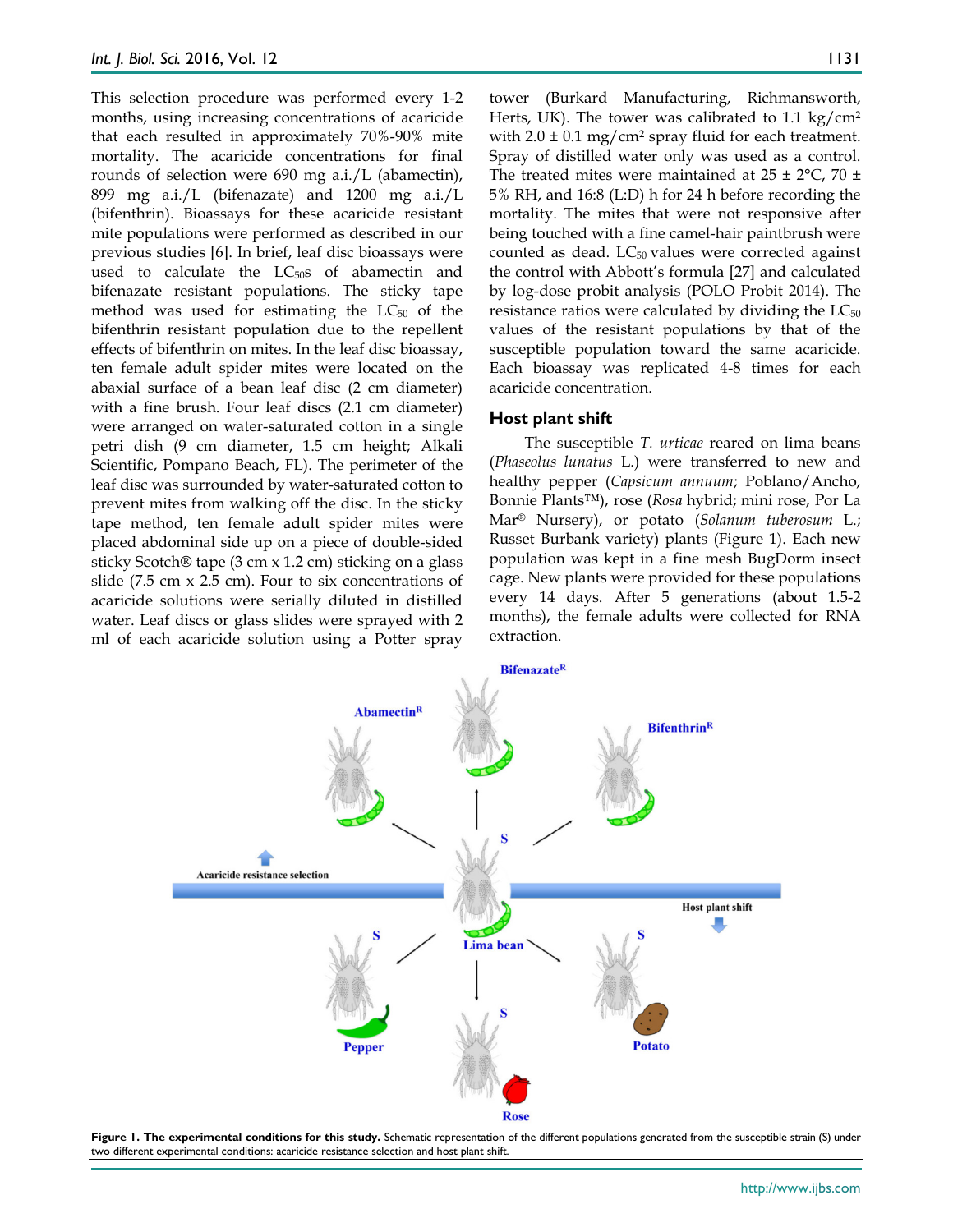This selection procedure was performed every 1-2 months, using increasing concentrations of acaricide that each resulted in approximately 70%-90% mite mortality. The acaricide concentrations for final rounds of selection were 690 mg a.i./L (abamectin), 899 mg a.i./L (bifenazate) and 1200 mg a.i./L (bifenthrin). Bioassays for these acaricide resistant mite populations were performed as described in our previous studies [6]. In brief, leaf disc bioassays were used to calculate the  $LC_{50}$ s of abamectin and bifenazate resistant populations. The sticky tape method was used for estimating the  $LC_{50}$  of the bifenthrin resistant population due to the repellent effects of bifenthrin on mites. In the leaf disc bioassay, ten female adult spider mites were located on the abaxial surface of a bean leaf disc (2 cm diameter) with a fine brush. Four leaf discs (2.1 cm diameter) were arranged on water-saturated cotton in a single petri dish (9 cm diameter, 1.5 cm height; Alkali Scientific, Pompano Beach, FL). The perimeter of the leaf disc was surrounded by water-saturated cotton to prevent mites from walking off the disc. In the sticky tape method, ten female adult spider mites were placed abdominal side up on a piece of double-sided sticky Scotch® tape (3 cm x 1.2 cm) sticking on a glass slide (7.5 cm x 2.5 cm). Four to six concentrations of acaricide solutions were serially diluted in distilled water. Leaf discs or glass slides were sprayed with 2 ml of each acaricide solution using a Potter spray

tower (Burkard Manufacturing, Richmansworth, Herts, UK). The tower was calibrated to  $1.1 \text{ kg/cm}^2$ with  $2.0 \pm 0.1$  mg/cm<sup>2</sup> spray fluid for each treatment. Spray of distilled water only was used as a control. The treated mites were maintained at  $25 \pm 2^{\circ}$ C,  $70 \pm 1$ 5% RH, and 16:8 (L:D) h for 24 h before recording the mortality. The mites that were not responsive after being touched with a fine camel-hair paintbrush were counted as dead.  $LC_{50}$  values were corrected against the control with Abbott's formula [27] and calculated by log-dose probit analysis (POLO Probit 2014). The resistance ratios were calculated by dividing the  $LC_{50}$ values of the resistant populations by that of the susceptible population toward the same acaricide. Each bioassay was replicated 4-8 times for each acaricide concentration.

#### **Host plant shift**

The susceptible *T. urticae* reared on lima beans (*Phaseolus lunatus* L.) were transferred to new and healthy pepper (*Capsicum annuum*; Poblano/Ancho, Bonnie Plants™), rose (*Rosa* hybrid; mini rose, Por La Mar® Nursery), or potato (*Solanum tuberosum* L.; Russet Burbank variety) plants (Figure 1). Each new population was kept in a fine mesh BugDorm insect cage. New plants were provided for these populations every 14 days. After 5 generations (about 1.5-2 months), the female adults were collected for RNA extraction.



**Figure 1. The experimental conditions for this study.** Schematic representation of the different populations generated from the susceptible strain (S) under two different experimental conditions: acaricide resistance selection and host plant shift.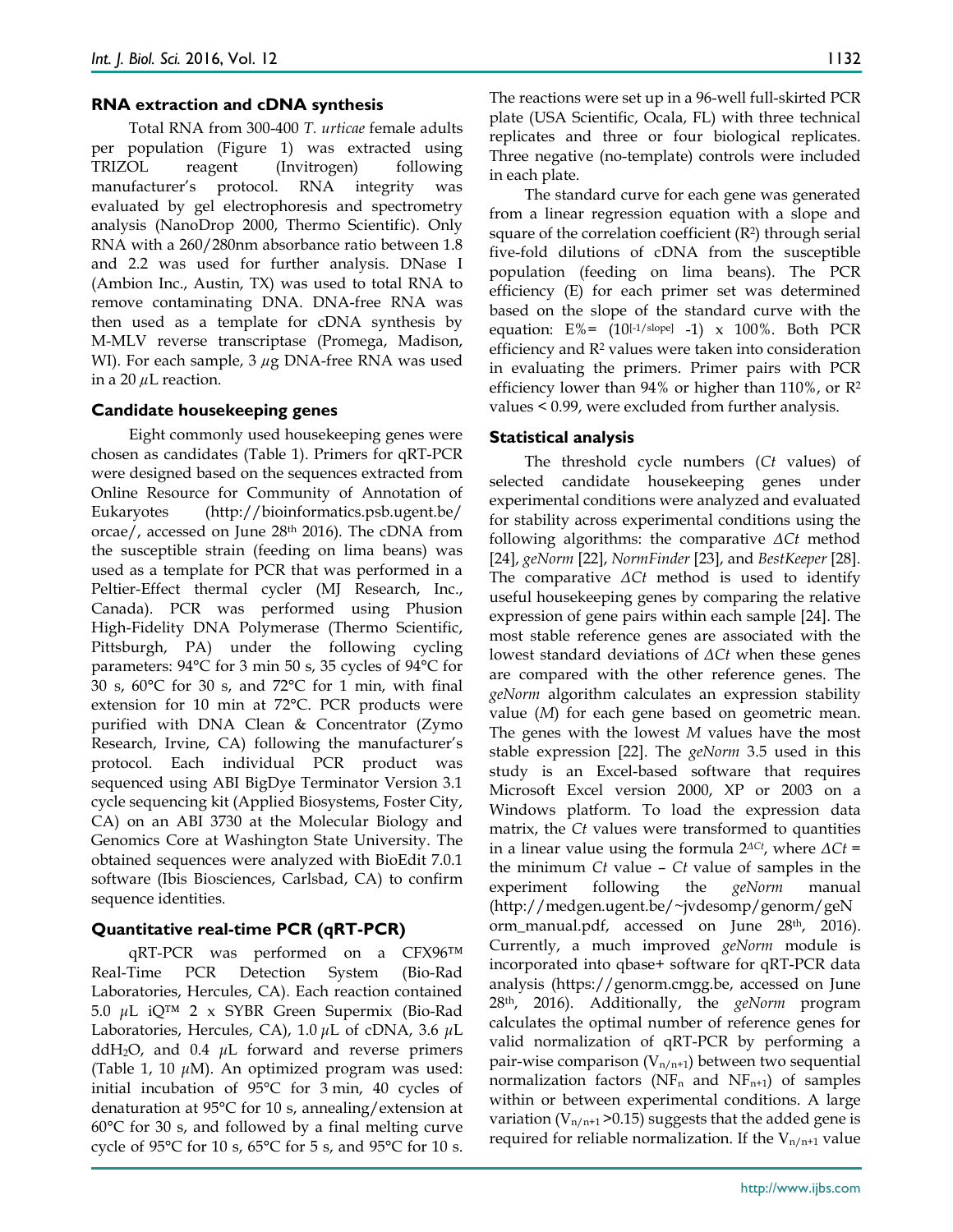#### **RNA extraction and cDNA synthesis**

Total RNA from 300-400 *T. urticae* female adults per population (Figure 1) was extracted using TRIZOL reagent (Invitrogen) following manufacturer's protocol. RNA integrity was evaluated by gel electrophoresis and spectrometry analysis (NanoDrop 2000, Thermo Scientific). Only RNA with a 260/280nm absorbance ratio between 1.8 and 2.2 was used for further analysis. DNase I (Ambion Inc., Austin, TX) was used to total RNA to remove contaminating DNA. DNA-free RNA was then used as a template for cDNA synthesis by M-MLV reverse transcriptase (Promega, Madison, WI). For each sample, 3 *µ*g DNA-free RNA was used in a 20 *µ*L reaction.

#### **Candidate housekeeping genes**

Eight commonly used housekeeping genes were chosen as candidates (Table 1). Primers for qRT-PCR were designed based on the sequences extracted from Online Resource for Community of Annotation of Eukaryotes (http://bioinformatics.psb.ugent.be/ orcae/, accessed on June 28th 2016). The cDNA from the susceptible strain (feeding on lima beans) was used as a template for PCR that was performed in a Peltier-Effect thermal cycler (MJ Research, Inc., Canada). PCR was performed using Phusion High-Fidelity DNA Polymerase (Thermo Scientific, Pittsburgh, PA) under the following cycling parameters: 94°C for 3 min 50 s, 35 cycles of 94°C for 30 s, 60°C for 30 s, and 72°C for 1 min, with final extension for 10 min at 72°C. PCR products were purified with DNA Clean & Concentrator (Zymo Research, Irvine, CA) following the manufacturer's protocol. Each individual PCR product was sequenced using ABI BigDye Terminator Version 3.1 cycle sequencing kit (Applied Biosystems, Foster City, CA) on an ABI 3730 at the Molecular Biology and Genomics Core at Washington State University. The obtained sequences were analyzed with BioEdit 7.0.1 software (Ibis Biosciences, Carlsbad, CA) to confirm sequence identities.

## **Quantitative real-time PCR (qRT-PCR)**

qRT-PCR was performed on a CFX96™ Real-Time PCR Detection System (Bio-Rad Laboratories, Hercules, CA). Each reaction contained 5.0 *μ*L iQ™ 2 x SYBR Green Supermix (Bio-Rad Laboratories, Hercules, CA), 1.0 *μ*L of cDNA, 3.6 *μ*L ddH2O, and 0.4 *μ*L forward and reverse primers (Table 1, 10 *μ*M). An optimized program was used: initial incubation of 95°C for 3 min, 40 cycles of denaturation at 95°C for 10 s, annealing/extension at 60°C for 30 s, and followed by a final melting curve cycle of 95°C for 10 s, 65°C for 5 s, and 95°C for 10 s.

The reactions were set up in a 96-well full-skirted PCR plate (USA Scientific, Ocala, FL) with three technical replicates and three or four biological replicates. Three negative (no-template) controls were included in each plate.

The standard curve for each gene was generated from a linear regression equation with a slope and square of the correlation coefficient  $(R<sup>2</sup>)$  through serial five-fold dilutions of cDNA from the susceptible population (feeding on lima beans). The PCR efficiency (E) for each primer set was determined based on the slope of the standard curve with the equation:  $E_{0}^{0} = (10^{[1/slope]} - 1)$  x 100%. Both PCR efficiency and R2 values were taken into consideration in evaluating the primers. Primer pairs with PCR efficiency lower than 94% or higher than 110%, or R2 values < 0.99, were excluded from further analysis.

#### **Statistical analysis**

The threshold cycle numbers (*Ct* values) of selected candidate housekeeping genes under experimental conditions were analyzed and evaluated for stability across experimental conditions using the following algorithms: the comparative *ΔCt* method [24], *geNorm* [22], *NormFinder* [23], and *BestKeeper* [28]. The comparative *ΔCt* method is used to identify useful housekeeping genes by comparing the relative expression of gene pairs within each sample [24]. The most stable reference genes are associated with the lowest standard deviations of *ΔCt* when these genes are compared with the other reference genes. The *geNorm* algorithm calculates an expression stability value (*M*) for each gene based on geometric mean. The genes with the lowest *M* values have the most stable expression [22]. The *geNorm* 3.5 used in this study is an Excel-based software that requires Microsoft Excel version 2000, XP or 2003 on a Windows platform. To load the expression data matrix, the *Ct* values were transformed to quantities in a linear value using the formula 2*ΔCt*, where *ΔCt* = the minimum *Ct* value – *Ct* value of samples in the experiment following the *geNorm* manual (http://medgen.ugent.be/~jvdesomp/genorm/geN orm\_manual.pdf, accessed on June 28<sup>th</sup>, 2016). Currently, a much improved *geNorm* module is incorporated into qbase+ software for qRT-PCR data analysis (https://genorm.cmgg.be, accessed on June 28th, 2016). Additionally, the *geNorm* program calculates the optimal number of reference genes for valid normalization of qRT-PCR by performing a pair-wise comparison  $(V_{n/n+1})$  between two sequential normalization factors ( $NF_n$  and  $NF_{n+1}$ ) of samples within or between experimental conditions. A large variation ( $V_{n/n+1}$  > 0.15) suggests that the added gene is required for reliable normalization. If the  $V_{n/n+1}$  value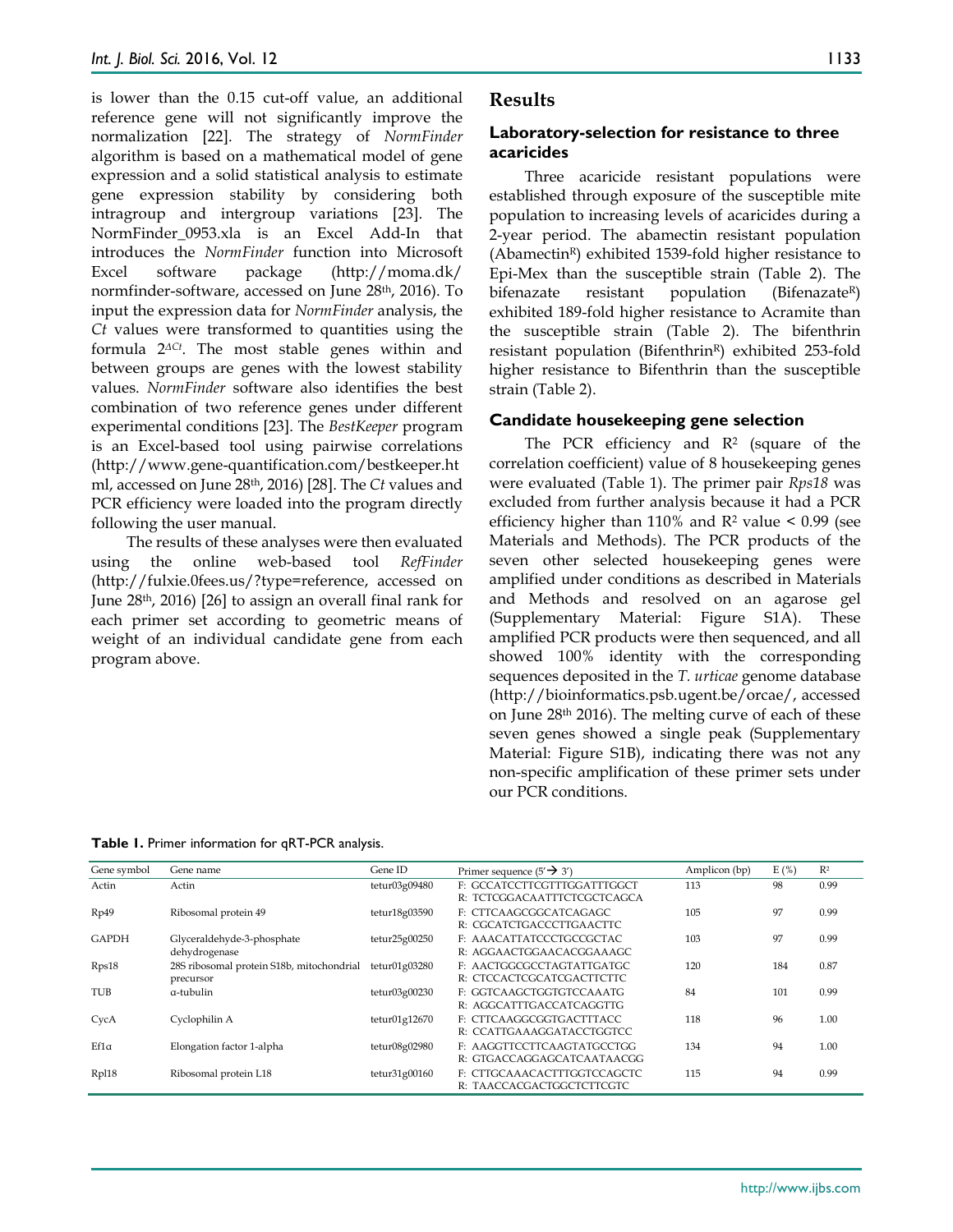is lower than the 0.15 cut-off value, an additional reference gene will not significantly improve the normalization [22]. The strategy of *NormFinder* algorithm is based on a mathematical model of gene expression and a solid statistical analysis to estimate gene expression stability by considering both intragroup and intergroup variations [23]. The NormFinder\_0953.xla is an Excel Add-In that introduces the *NormFinder* function into Microsoft Excel software package (http://moma.dk/ normfinder-software, accessed on June 28th, 2016). To input the expression data for *NormFinder* analysis, the *Ct* values were transformed to quantities using the formula 2*ΔCt*. The most stable genes within and between groups are genes with the lowest stability values. *NormFinder* software also identifies the best combination of two reference genes under different experimental conditions [23]. The *BestKeeper* program is an Excel-based tool using pairwise correlations (http://www.gene-quantification.com/bestkeeper.ht ml, accessed on June 28th, 2016) [28]. The *Ct* values and PCR efficiency were loaded into the program directly following the user manual.

The results of these analyses were then evaluated using the online web-based tool *RefFinder* (http://fulxie.0fees.us/?type=reference, accessed on June 28th, 2016) [26] to assign an overall final rank for each primer set according to geometric means of weight of an individual candidate gene from each program above.

#### **Results**

#### **Laboratory-selection for resistance to three acaricides**

Three acaricide resistant populations were established through exposure of the susceptible mite population to increasing levels of acaricides during a 2-year period. The abamectin resistant population (AbamectinR) exhibited 1539-fold higher resistance to Epi-Mex than the susceptible strain (Table 2). The bifenazate resistant population (Bifenazate<sup>R</sup>) exhibited 189-fold higher resistance to Acramite than the susceptible strain (Table 2). The bifenthrin resistant population (Bifenthrin<sup>R</sup>) exhibited 253-fold higher resistance to Bifenthrin than the susceptible strain (Table 2).

#### **Candidate housekeeping gene selection**

The PCR efficiency and  $\mathbb{R}^2$  (square of the correlation coefficient) value of 8 housekeeping genes were evaluated (Table 1). The primer pair *Rps18* was excluded from further analysis because it had a PCR efficiency higher than 110% and  $\mathbb{R}^2$  value < 0.99 (see Materials and Methods). The PCR products of the seven other selected housekeeping genes were amplified under conditions as described in Materials and Methods and resolved on an agarose gel (Supplementary Material: Figure S1A). These amplified PCR products were then sequenced, and all showed 100% identity with the corresponding sequences deposited in the *T. urticae* genome database (http://bioinformatics.psb.ugent.be/orcae/, accessed on June 28th 2016). The melting curve of each of these seven genes showed a single peak (Supplementary Material: Figure S1B), indicating there was not any non-specific amplification of these primer sets under our PCR conditions.

**Table 1.** Primer information for qRT-PCR analysis.

| Gene symbol  | Gene name                                              | Gene ID       | Primer sequence $(5' \rightarrow 3')$                      | Amplicon (bp) | E(%) | R <sup>2</sup> |
|--------------|--------------------------------------------------------|---------------|------------------------------------------------------------|---------------|------|----------------|
| Actin        | Actin                                                  | tetur03g09480 | F: GCCATCCTTCGTTTGGATTTGGCT<br>R: TCTCGGACAATTTCTCGCTCAGCA | 113           | 98   | 0.99           |
| Rp49         | Ribosomal protein 49                                   | tetur18g03590 | F: CTTCAAGCGGCATCAGAGC<br>R: CGCATCTGACCCTTGAACTTC         | 105           | 97   | 0.99           |
| <b>GAPDH</b> | Glyceraldehyde-3-phosphate<br>dehydrogenase            | tetur25g00250 | F: AAACATTATCCCTGCCGCTAC<br>R: AGGAACTGGAACACGGAAAGC       | 103           | 97   | 0.99           |
| Rps18        | 28S ribosomal protein S18b, mitochondrial<br>precursor | tetur01g03280 | E: AACTGGCGCCTAGTATTGATGC<br>R: CTCCACTCGCATCGACTTCTTC     | 120           | 184  | 0.87           |
| <b>TUB</b>   | a-tubulin                                              | tetur03g00230 | F: GGTCAAGCTGGTGTCCAAATG<br>R: AGGCATTTGACCATCAGGTTG       | 84            | 101  | 0.99           |
| CycA         | Cyclophilin A                                          | tetur01g12670 | F: CTTCAAGGCGGTGACTTTACC<br>R: CCATTGAAAGGATACCTGGTCC      | 118           | 96   | 1.00           |
| $Ef1\alpha$  | Elongation factor 1-alpha                              | tetur08g02980 | F: AAGGTTCCTTCAAGTATGCCTGG<br>R: GTGACCAGGAGCATCAATAACGG   | 134           | 94   | 1.00           |
| Rp118        | Ribosomal protein L18                                  | tetur31g00160 | F: CTTGCAAACACTTTGGTCCAGCTC<br>R: TAACCACGACTGGCTCTTCGTC   | 115           | 94   | 0.99           |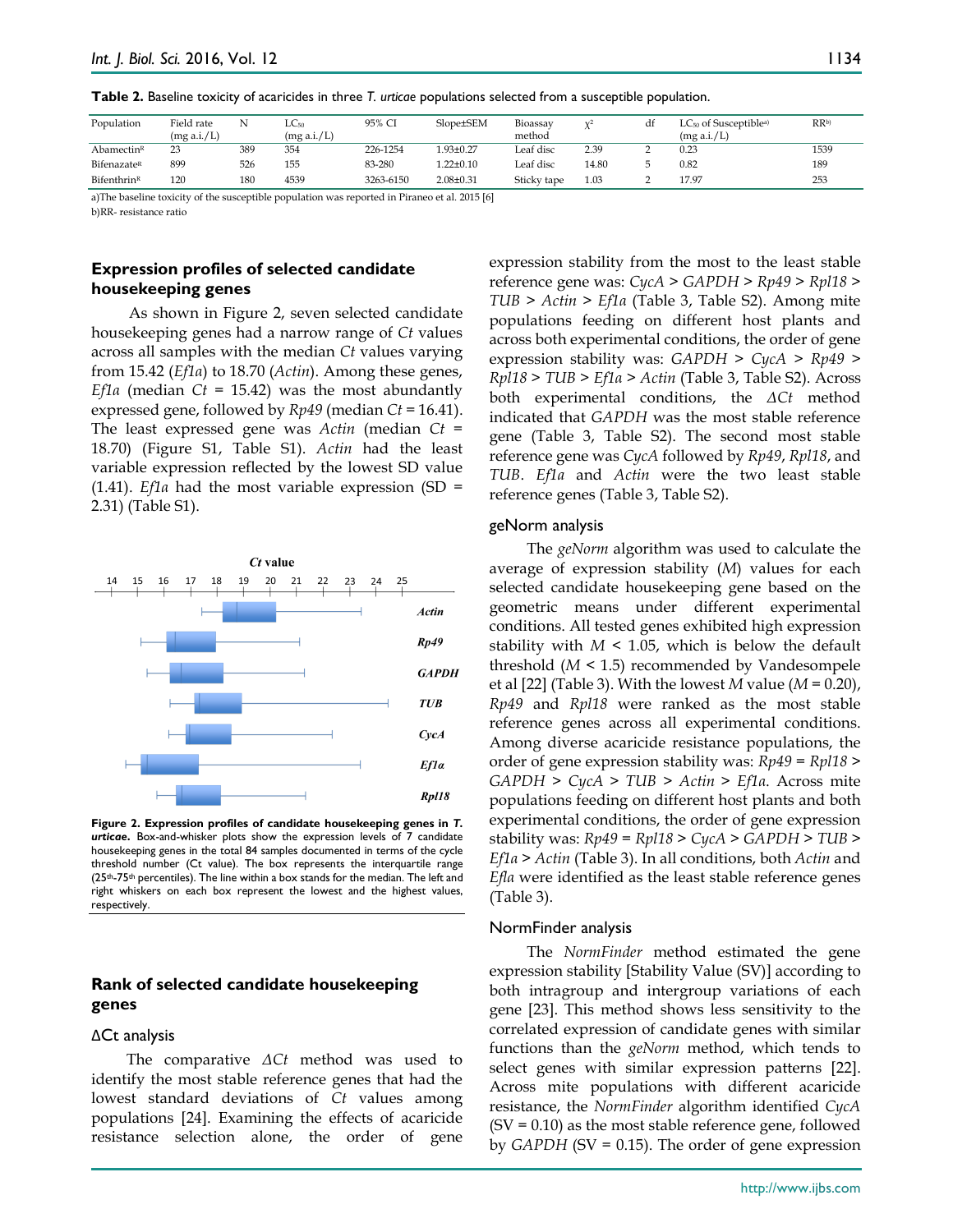| Population              | Field rate<br>(mg a.i./L) | N   | $LC_{50}$<br>(mg a.i./L) | 95% CI    | Slope±SEM       | Bioassay<br>method |       | df | $LC_{50}$ of Susceptiblea)<br>(mg a.i./L) | RRb) |
|-------------------------|---------------------------|-----|--------------------------|-----------|-----------------|--------------------|-------|----|-------------------------------------------|------|
| Abamectin <sup>R</sup>  | 23                        | 389 | 354                      | 226-1254  | l.93±0.27       | Leaf disc          | 2.39  |    | 0.23                                      | 1539 |
| Bifenazate <sup>R</sup> | 899                       | 526 | 155                      | 83-280    | $1.22 \pm 0.10$ | Leaf disc          | 14.80 |    | 0.82                                      | 189  |
| Bifenthrin <sup>R</sup> | 120                       | 180 | 4539                     | 3263-6150 | $2.08 \pm 0.31$ | Sticky tape        | 1.03  |    | 17.97                                     | 253  |
| .                       | .                         |     |                          |           |                 |                    |       |    |                                           |      |

**Table 2.** Baseline toxicity of acaricides in three *T. urticae* populations selected from a susceptible population.

a)The baseline toxicity of the susceptible population was reported in Piraneo et al. 2015 [6] b)RR- resistance ratio

## **Expression profiles of selected candidate housekeeping genes**

As shown in Figure 2, seven selected candidate housekeeping genes had a narrow range of *Ct* values across all samples with the median *Ct* values varying from 15.42 (*Ef1α*) to 18.70 (*Actin*). Among these genes, *Ef1α* (median *Ct* = 15.42) was the most abundantly expressed gene, followed by *Rp49* (median *Ct* = 16.41). The least expressed gene was *Actin* (median *Ct* = 18.70) (Figure S1, Table S1). *Actin* had the least variable expression reflected by the lowest SD value (1.41). *Ef1α* had the most variable expression (SD = 2.31) (Table S1).



**Figure 2. Expression profiles of candidate housekeeping genes in** *T. urticae***.** Box-and-whisker plots show the expression levels of 7 candidate housekeeping genes in the total 84 samples documented in terms of the cycle threshold number (Ct value). The box represents the interquartile range  $(25<sup>th</sup>-75<sup>th</sup>$  percentiles). The line within a box stands for the median. The left and right whiskers on each box represent the lowest and the highest values, respectively.

## **Rank of selected candidate housekeeping genes**

#### ΔCt analysis

The comparative *ΔCt* method was used to identify the most stable reference genes that had the lowest standard deviations of *Ct* values among populations [24]. Examining the effects of acaricide resistance selection alone, the order of gene expression stability from the most to the least stable reference gene was: *CycA* > *GAPDH* > *Rp49* > *Rpl18* > *TUB* > *Actin* > *Ef1α* (Table 3, Table S2). Among mite populations feeding on different host plants and across both experimental conditions, the order of gene expression stability was: *GAPDH* > *CycA* > *Rp49* > *Rpl18* > *TUB* > *Ef1α* > *Actin* (Table 3, Table S2). Across both experimental conditions, the *ΔCt* method indicated that *GAPDH* was the most stable reference gene (Table 3, Table S2). The second most stable reference gene was *CycA* followed by *Rp49*, *Rpl18*, and *TUB*. *Ef1a* and *Actin* were the two least stable reference genes (Table 3, Table S2).

#### geNorm analysis

The *geNorm* algorithm was used to calculate the average of expression stability (*M*) values for each selected candidate housekeeping gene based on the geometric means under different experimental conditions. All tested genes exhibited high expression stability with  $M < 1.05$ , which is below the default threshold (*M* < 1.5) recommended by Vandesompele et al [22] (Table 3). With the lowest *M* value (*M* = 0.20), *Rp49* and *Rpl18* were ranked as the most stable reference genes across all experimental conditions. Among diverse acaricide resistance populations, the order of gene expression stability was: *Rp49* = *Rpl18* > *GAPDH* > *CycA > TUB* > *Actin* > *Ef1α*. Across mite populations feeding on different host plants and both experimental conditions, the order of gene expression stability was: *Rp49* = *Rpl18* > *CycA > GAPDH* > *TUB* > *Ef1α* > *Actin* (Table 3). In all conditions, both *Actin* and *Eflα* were identified as the least stable reference genes (Table 3).

#### NormFinder analysis

The *NormFinder* method estimated the gene expression stability [Stability Value (SV)] according to both intragroup and intergroup variations of each gene [23]. This method shows less sensitivity to the correlated expression of candidate genes with similar functions than the *geNorm* method, which tends to select genes with similar expression patterns [22]. Across mite populations with different acaricide resistance, the *NormFinder* algorithm identified *CycA*  $(SV = 0.10)$  as the most stable reference gene, followed by *GAPDH* (SV = 0.15). The order of gene expression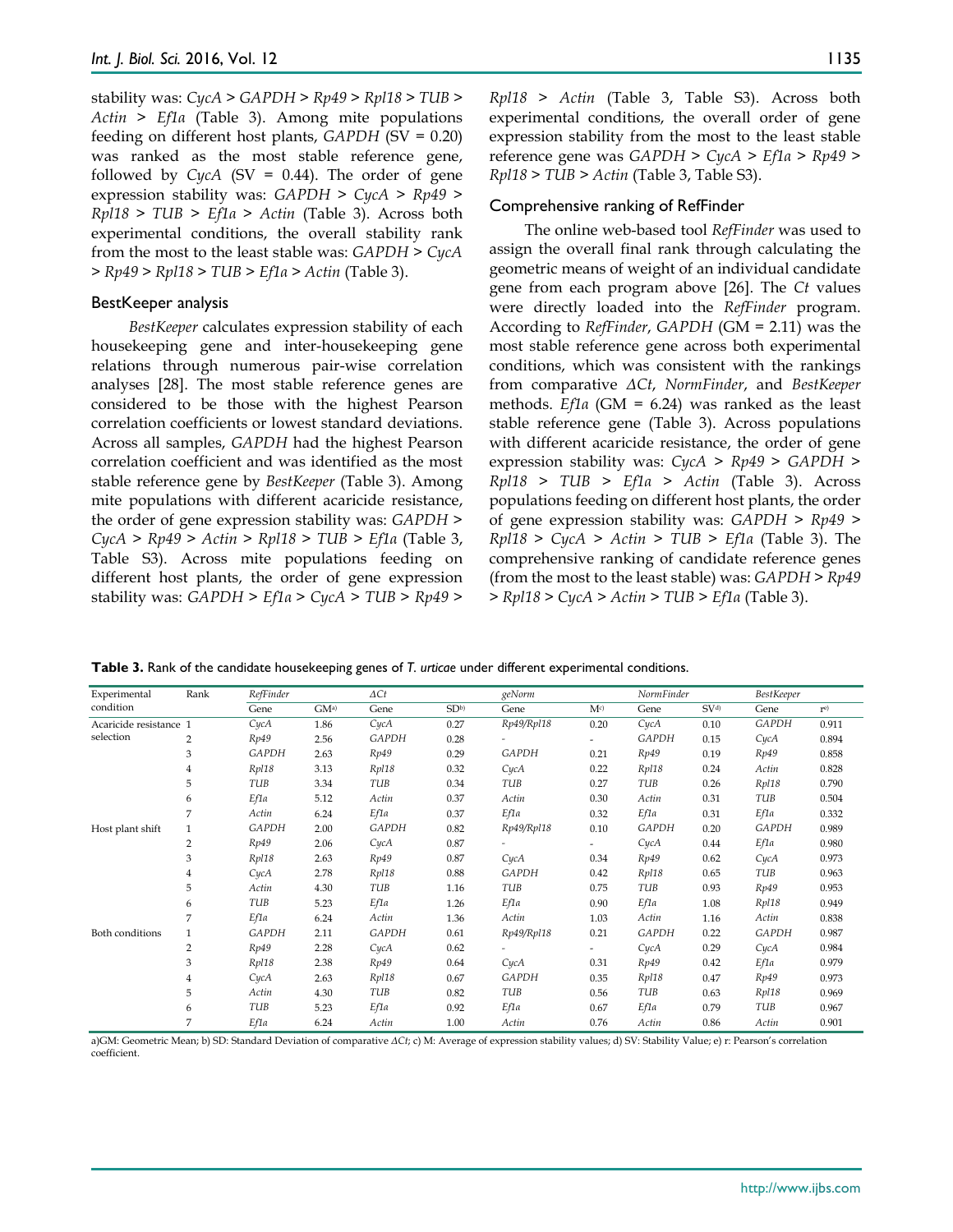stability was: *CycA > GAPDH > Rp49 > Rpl18 > TUB* > *Actin* > *Ef1α* (Table 3). Among mite populations feeding on different host plants, *GAPDH* (SV = 0.20) was ranked as the most stable reference gene, followed by  $CycA$  (SV = 0.44). The order of gene expression stability was: *GAPDH > CycA > Rp49 > Rpl18 > TUB* > *Ef1α* > *Actin* (Table 3). Across both experimental conditions, the overall stability rank from the most to the least stable was: *GAPDH* > *CycA* > *Rp49* > *Rpl18* > *TUB* > *Ef1α* > *Actin* (Table 3).

#### BestKeeper analysis

*BestKeeper* calculates expression stability of each housekeeping gene and inter-housekeeping gene relations through numerous pair-wise correlation analyses [28]. The most stable reference genes are considered to be those with the highest Pearson correlation coefficients or lowest standard deviations. Across all samples, *GAPDH* had the highest Pearson correlation coefficient and was identified as the most stable reference gene by *BestKeeper* (Table 3). Among mite populations with different acaricide resistance, the order of gene expression stability was: *GAPDH* > *CycA* > *Rp49* > *Actin* > *Rpl18* > *TUB* > *Ef1α* (Table 3, Table S3). Across mite populations feeding on different host plants, the order of gene expression stability was: *GAPDH* > *Ef1α* > *CycA* > *TUB* > *Rp49* >

*Rpl18* > *Actin* (Table 3, Table S3). Across both experimental conditions, the overall order of gene expression stability from the most to the least stable reference gene was *GAPDH* > *CycA* > *Ef1α* > *Rp49* > *Rpl18* > *TUB* > *Actin* (Table 3, Table S3).

#### Comprehensive ranking of RefFinder

The online web-based tool *RefFinder* was used to assign the overall final rank through calculating the geometric means of weight of an individual candidate gene from each program above [26]. The *Ct* values were directly loaded into the *RefFinder* program. According to *RefFinder*, *GAPDH* (GM = 2.11) was the most stable reference gene across both experimental conditions, which was consistent with the rankings from comparative *ΔCt*, *NormFinder*, and *BestKeeper*  methods. *Ef1α* (GM = 6.24) was ranked as the least stable reference gene (Table 3). Across populations with different acaricide resistance, the order of gene expression stability was: *CycA* > *Rp49* > *GAPDH* > *Rpl18* > *TUB* > *Ef1α* > *Actin* (Table 3). Across populations feeding on different host plants, the order of gene expression stability was: *GAPDH* > *Rp49* > *Rpl18* > *CycA* > *Actin* > *TUB* > *Ef1α* (Table 3). The comprehensive ranking of candidate reference genes (from the most to the least stable) was: *GAPDH* > *Rp49* > *Rpl18* > *CycA* > *Actin* > *TUB* > *Ef1α* (Table 3).

**Table 3.** Rank of the candidate housekeeping genes of *T. urticae* under different experimental conditions.

| Experimental           | Rank           | RefFinder    |                 | $\Delta C t$ |                 | geNorm       |                          | NormFinder   |                 | <b>BestKeeper</b> |                |
|------------------------|----------------|--------------|-----------------|--------------|-----------------|--------------|--------------------------|--------------|-----------------|-------------------|----------------|
| condition              |                | Gene         | GM <sup>a</sup> | Gene         | SD <sub>b</sub> | Gene         | M <sub>c</sub>           | Gene         | SV <sup>d</sup> | Gene              | r <sup>e</sup> |
| Acaricide resistance 1 |                | CycA         | 1.86            | CycA         | 0.27            | Rp49/Rpl18   | 0.20                     | CycA         | 0.10            | <b>GAPDH</b>      | 0.911          |
| selection              | $\overline{2}$ | Rp49         | 2.56            | <b>GAPDH</b> | 0.28            |              | $\overline{\phantom{a}}$ | <b>GAPDH</b> | 0.15            | CycA              | 0.894          |
|                        | 3              | <b>GAPDH</b> | 2.63            | Rp49         | 0.29            | <b>GAPDH</b> | 0.21                     | Rp49         | 0.19            | Rp49              | 0.858          |
|                        | $\overline{4}$ | Rp118        | 3.13            | Rp118        | 0.32            | CycA         | 0.22                     | Rp118        | 0.24            | Actin             | 0.828          |
|                        | 5              | TUB          | 3.34            | TUB          | 0.34            | TUB          | 0.27                     | TUB          | 0.26            | Rp118             | 0.790          |
|                        | 6              | Ef1a         | 5.12            | Actin        | 0.37            | Actin        | 0.30                     | Actin        | 0.31            | TUB               | 0.504          |
|                        | 7              | Actin        | 6.24            | Ef1a         | 0.37            | Ef1a         | 0.32                     | Ef1a         | 0.31            | Ef1a              | 0.332          |
| Host plant shift       | $\mathbf{1}$   | <b>GAPDH</b> | 2.00            | <b>GAPDH</b> | 0.82            | Rp49/Rpl18   | 0.10                     | <b>GAPDH</b> | 0.20            | <b>GAPDH</b>      | 0.989          |
|                        | $\overline{2}$ | Rp49         | 2.06            | CycA         | 0.87            |              |                          | CycA         | 0.44            | Ef1a              | 0.980          |
|                        | 3              | Rp118        | 2.63            | Rp49         | 0.87            | CycA         | 0.34                     | Rp49         | 0.62            | CycA              | 0.973          |
|                        | 4              | CycA         | 2.78            | Rp118        | 0.88            | <b>GAPDH</b> | 0.42                     | Rp118        | 0.65            | TUB               | 0.963          |
|                        | 5              | Actin        | 4.30            | TUB          | 1.16            | TUB          | 0.75                     | TUB          | 0.93            | Rp49              | 0.953          |
|                        | 6              | TUB          | 5.23            | Ef1a         | 1.26            | Ef1a         | 0.90                     | Ef1a         | 1.08            | Rp118             | 0.949          |
|                        | 7              | Ef1a         | 6.24            | Actin        | 1.36            | Actin        | 1.03                     | Actin        | 1.16            | Actin             | 0.838          |
| <b>Both conditions</b> | $\mathbf{1}$   | <b>GAPDH</b> | 2.11            | GAPDH        | 0.61            | Rp49/Rpl18   | 0.21                     | GAPDH        | 0.22            | GAPDH             | 0.987          |
|                        | $\overline{2}$ | Rp49         | 2.28            | CycA         | 0.62            |              |                          | CycA         | 0.29            | CycA              | 0.984          |
|                        | 3              | Rp118        | 2.38            | Rp49         | 0.64            | CycA         | 0.31                     | Rp49         | 0.42            | Ef1a              | 0.979          |
|                        | $\overline{4}$ | CycA         | 2.63            | Rp118        | 0.67            | <b>GAPDH</b> | 0.35                     | Rp118        | 0.47            | Rp49              | 0.973          |
|                        | 5              | Actin        | 4.30            | TUB          | 0.82            | TUB          | 0.56                     | TUB          | 0.63            | Rp118             | 0.969          |
|                        | 6              | TUB          | 5.23            | Ef1a         | 0.92            | Ef1a         | 0.67                     | Ef1a         | 0.79            | TUB               | 0.967          |
|                        | 7              | Ef1a         | 6.24            | Actin        | 1.00            | Actin        | 0.76                     | Actin        | 0.86            | Actin             | 0.901          |

a)GM: Geometric Mean; b) SD: Standard Deviation of comparative *ΔCt*; c) M: Average of expression stability values; d) SV: Stability Value; e) r: Pearson's correlation coefficient.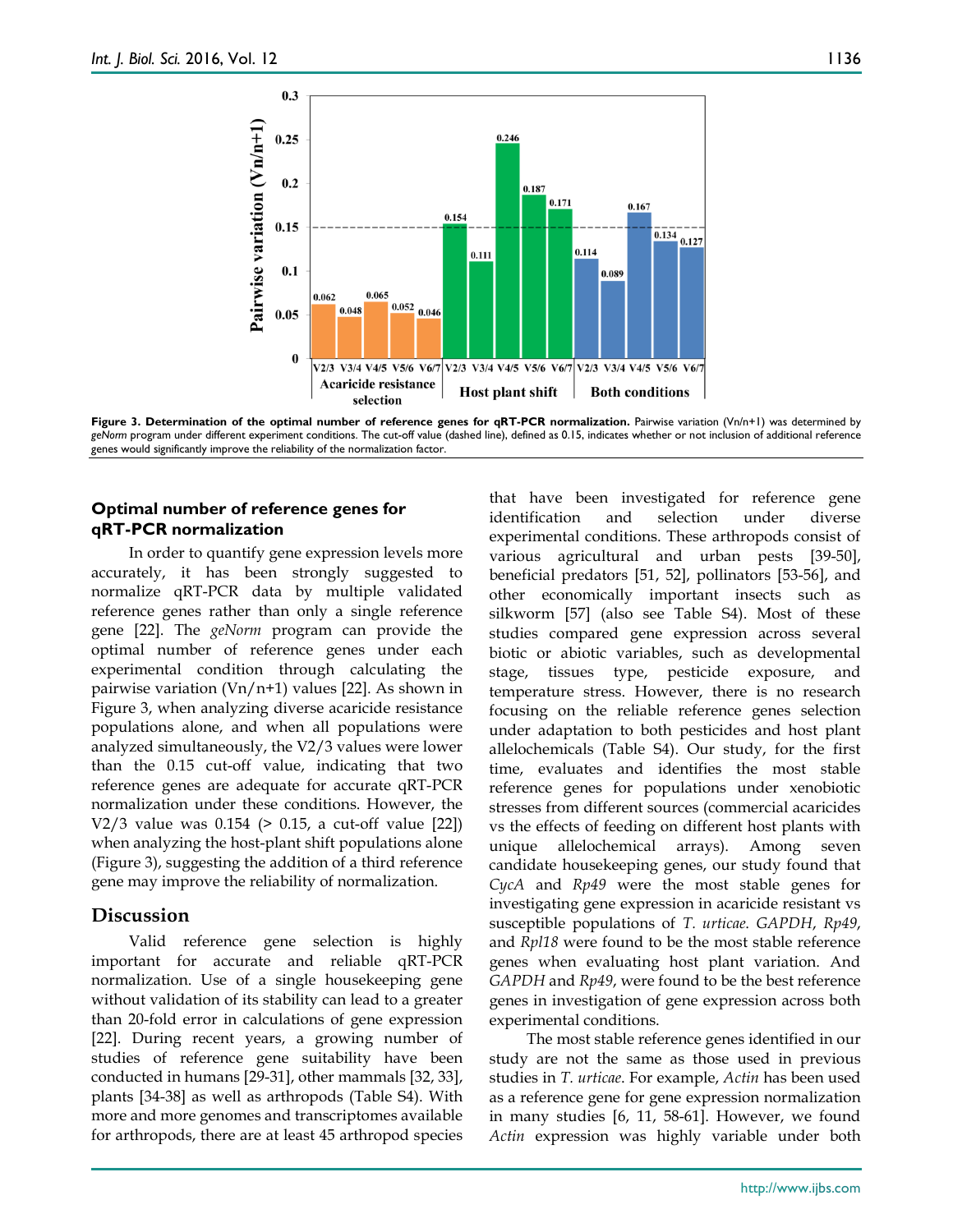

**Figure 3. Determination of the optimal number of reference genes for qRT-PCR normalization.** Pairwise variation (Vn/n+1) was determined by *geNorm* program under different experiment conditions. The cut-off value (dashed line), defined as 0.15, indicates whether or not inclusion of additional reference genes would significantly improve the reliability of the normalization factor.

#### **Optimal number of reference genes for qRT-PCR normalization**

In order to quantify gene expression levels more accurately, it has been strongly suggested to normalize qRT-PCR data by multiple validated reference genes rather than only a single reference gene [22]. The *geNorm* program can provide the optimal number of reference genes under each experimental condition through calculating the pairwise variation ( $Vn/n+1$ ) values [22]. As shown in Figure 3, when analyzing diverse acaricide resistance populations alone, and when all populations were analyzed simultaneously, the V2/3 values were lower than the 0.15 cut-off value, indicating that two reference genes are adequate for accurate qRT-PCR normalization under these conditions. However, the V2/3 value was 0.154 (> 0.15, a cut-off value [22]) when analyzing the host-plant shift populations alone (Figure 3), suggesting the addition of a third reference gene may improve the reliability of normalization.

# **Discussion**

Valid reference gene selection is highly important for accurate and reliable qRT-PCR normalization. Use of a single housekeeping gene without validation of its stability can lead to a greater than 20-fold error in calculations of gene expression [22]. During recent years, a growing number of studies of reference gene suitability have been conducted in humans [29-31], other mammals [32, 33], plants [34-38] as well as arthropods (Table S4). With more and more genomes and transcriptomes available for arthropods, there are at least 45 arthropod species that have been investigated for reference gene identification and selection under diverse experimental conditions. These arthropods consist of various agricultural and urban pests [39-50], beneficial predators [51, 52], pollinators [53-56], and other economically important insects such as silkworm [57] (also see Table S4). Most of these studies compared gene expression across several biotic or abiotic variables, such as developmental stage, tissues type, pesticide exposure, and temperature stress. However, there is no research focusing on the reliable reference genes selection under adaptation to both pesticides and host plant allelochemicals (Table S4). Our study, for the first time, evaluates and identifies the most stable reference genes for populations under xenobiotic stresses from different sources (commercial acaricides vs the effects of feeding on different host plants with unique allelochemical arrays). Among seven candidate housekeeping genes, our study found that *CycA* and *Rp49* were the most stable genes for investigating gene expression in acaricide resistant vs susceptible populations of *T. urticae*. *GAPDH*, *Rp49*, and *Rpl18* were found to be the most stable reference genes when evaluating host plant variation. And *GAPDH* and *Rp49*, were found to be the best reference genes in investigation of gene expression across both experimental conditions.

The most stable reference genes identified in our study are not the same as those used in previous studies in *T. urticae*. For example, *Actin* has been used as a reference gene for gene expression normalization in many studies [6, 11, 58-61]. However, we found *Actin* expression was highly variable under both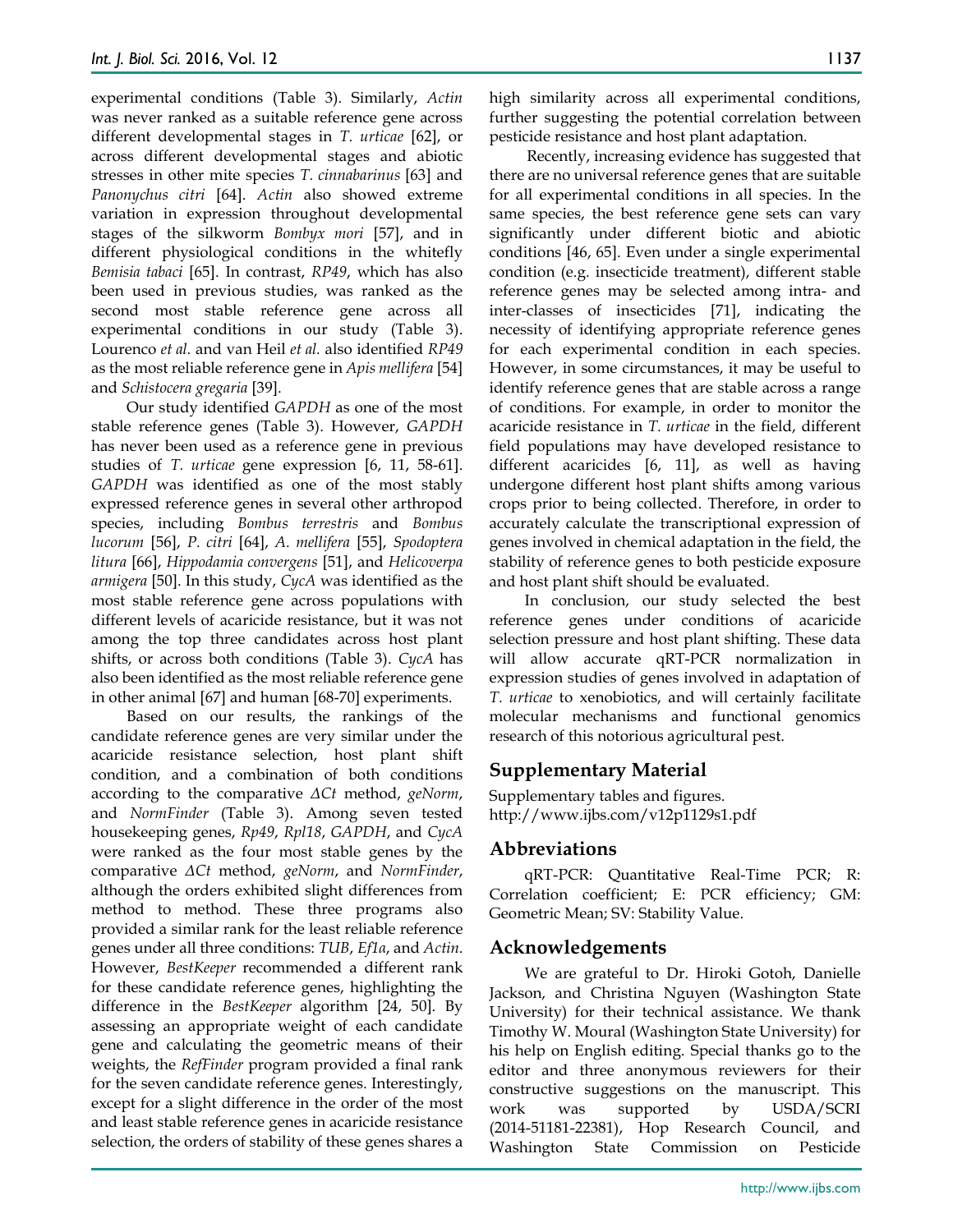experimental conditions (Table 3). Similarly, *Actin* was never ranked as a suitable reference gene across different developmental stages in *T. urticae* [62], or across different developmental stages and abiotic stresses in other mite species *T. cinnabarinus* [63] and *Panonychus citri* [64]. *Actin* also showed extreme variation in expression throughout developmental stages of the silkworm *Bombyx mori* [57], and in different physiological conditions in the whitefly *Bemisia tabaci* [65]. In contrast, *RP49*, which has also been used in previous studies, was ranked as the second most stable reference gene across all experimental conditions in our study (Table 3). Lourenco *et al.* and van Heil *et al.* also identified *RP49* as the most reliable reference gene in *Apis mellifera* [54] and *Schistocera gregaria* [39].

Our study identified *GAPDH* as one of the most stable reference genes (Table 3). However, *GAPDH* has never been used as a reference gene in previous studies of *T. urticae* gene expression [6, 11, 58-61]. *GAPDH* was identified as one of the most stably expressed reference genes in several other arthropod species, including *Bombus terrestris* and *Bombus lucorum* [56], *P. citri* [64], *A. mellifera* [55], *Spodoptera litura* [66], *Hippodamia convergens* [51], and *Helicoverpa armigera* [50]. In this study, *CycA* was identified as the most stable reference gene across populations with different levels of acaricide resistance, but it was not among the top three candidates across host plant shifts, or across both conditions (Table 3). *CycA* has also been identified as the most reliable reference gene in other animal [67] and human [68-70] experiments.

Based on our results, the rankings of the candidate reference genes are very similar under the acaricide resistance selection, host plant shift condition, and a combination of both conditions according to the comparative *ΔCt* method, *geNorm*, and *NormFinder* (Table 3). Among seven tested housekeeping genes, *Rp49*, *Rpl18*, *GAPDH*, and *CycA* were ranked as the four most stable genes by the comparative *ΔCt* method, *geNorm*, and *NormFinder*, although the orders exhibited slight differences from method to method. These three programs also provided a similar rank for the least reliable reference genes under all three conditions: *TUB*, *Ef1α*, and *Actin*. However, *BestKeeper* recommended a different rank for these candidate reference genes, highlighting the difference in the *BestKeeper* algorithm [24, 50]. By assessing an appropriate weight of each candidate gene and calculating the geometric means of their weights, the *RefFinder* program provided a final rank for the seven candidate reference genes. Interestingly, except for a slight difference in the order of the most and least stable reference genes in acaricide resistance selection, the orders of stability of these genes shares a

high similarity across all experimental conditions, further suggesting the potential correlation between pesticide resistance and host plant adaptation.

Recently, increasing evidence has suggested that there are no universal reference genes that are suitable for all experimental conditions in all species. In the same species, the best reference gene sets can vary significantly under different biotic and abiotic conditions [46, 65]. Even under a single experimental condition (e.g. insecticide treatment), different stable reference genes may be selected among intra- and inter-classes of insecticides [71], indicating the necessity of identifying appropriate reference genes for each experimental condition in each species. However, in some circumstances, it may be useful to identify reference genes that are stable across a range of conditions. For example, in order to monitor the acaricide resistance in *T. urticae* in the field, different field populations may have developed resistance to different acaricides [6, 11], as well as having undergone different host plant shifts among various crops prior to being collected. Therefore, in order to accurately calculate the transcriptional expression of genes involved in chemical adaptation in the field, the stability of reference genes to both pesticide exposure and host plant shift should be evaluated.

In conclusion, our study selected the best reference genes under conditions of acaricide selection pressure and host plant shifting. These data will allow accurate qRT-PCR normalization in expression studies of genes involved in adaptation of *T. urticae* to xenobiotics, and will certainly facilitate molecular mechanisms and functional genomics research of this notorious agricultural pest.

# **Supplementary Material**

Supplementary tables and figures. http://www.ijbs.com/v12p1129s1.pdf

## **Abbreviations**

qRT-PCR: Quantitative Real-Time PCR; R: Correlation coefficient; E: PCR efficiency; GM: Geometric Mean; SV: Stability Value.

## **Acknowledgements**

We are grateful to Dr. Hiroki Gotoh, Danielle Jackson, and Christina Nguyen (Washington State University) for their technical assistance. We thank Timothy W. Moural (Washington State University) for his help on English editing. Special thanks go to the editor and three anonymous reviewers for their constructive suggestions on the manuscript. This work was supported by USDA/SCRI (2014-51181-22381), Hop Research Council, and Washington State Commission on Pesticide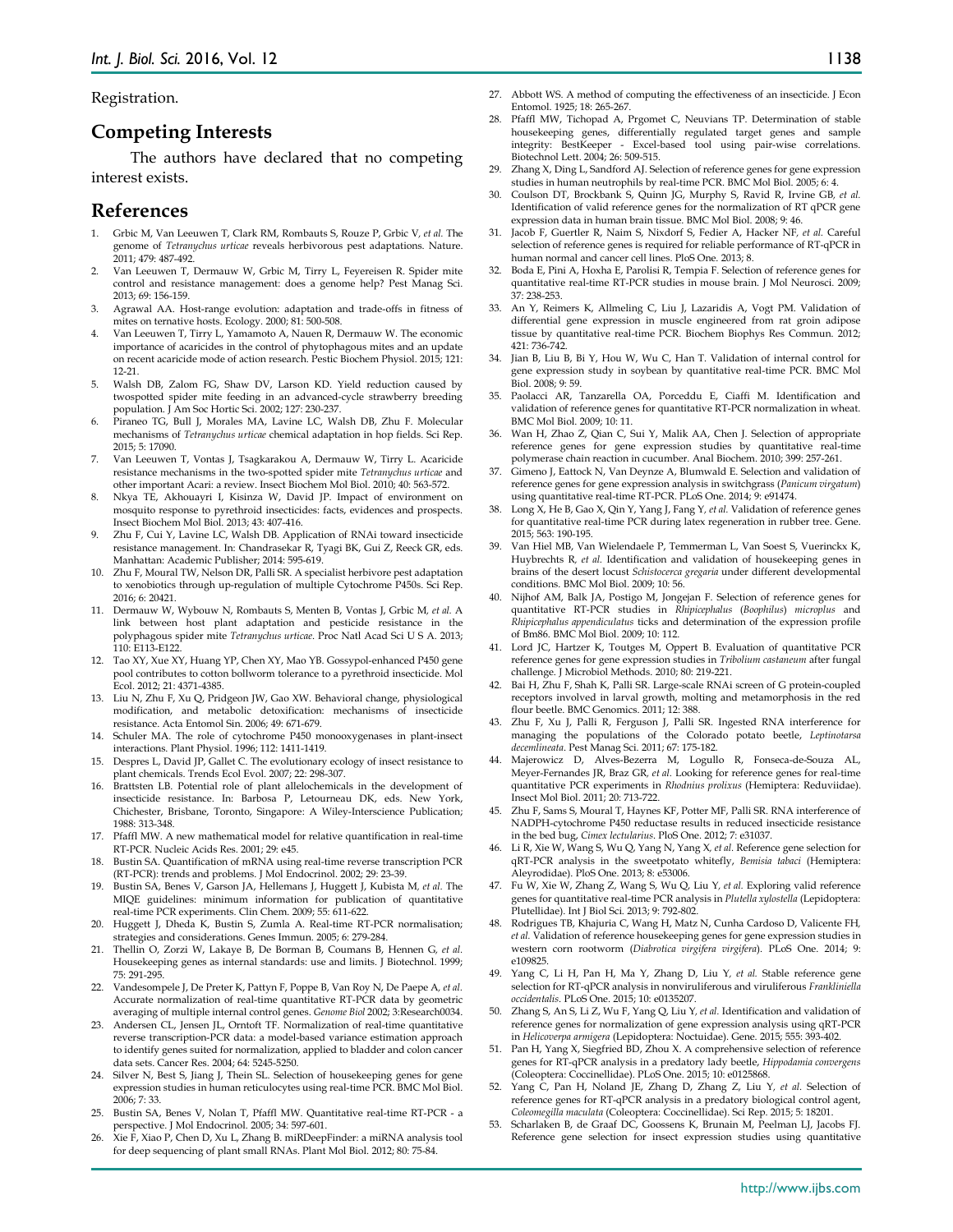Registration.

#### **Competing Interests**

The authors have declared that no competing interest exists.

## **References**

- 1. Grbic M, Van Leeuwen T, Clark RM, Rombauts S, Rouze P, Grbic V*, et al.* The genome of *Tetranychus urticae* reveals herbivorous pest adaptations. Nature. 2011; 479: 487-492.
- 2. Van Leeuwen T, Dermauw W, Grbic M, Tirry L, Feyereisen R. Spider mite control and resistance management: does a genome help? Pest Manag Sci. 2013; 69: 156-159.
- 3. Agrawal AA. Host-range evolution: adaptation and trade-offs in fitness of mites on ternative hosts. Ecology. 2000; 81: 500-508.
- Van Leeuwen T, Tirry L, Yamamoto A, Nauen R, Dermauw W. The economic importance of acaricides in the control of phytophagous mites and an update on recent acaricide mode of action research. Pestic Biochem Physiol. 2015; 121: 12-21.
- 5. Walsh DB, Zalom FG, Shaw DV, Larson KD. Yield reduction caused by twospotted spider mite feeding in an advanced-cycle strawberry breeding population. J Am Soc Hortic Sci. 2002; 127: 230-237.
- 6. Piraneo TG, Bull J, Morales MA, Lavine LC, Walsh DB, Zhu F. Molecular mechanisms of *Tetranychus urticae* chemical adaptation in hop fields. Sci Rep. 2015; 5: 17090.
- 7. Van Leeuwen T, Vontas J, Tsagkarakou A, Dermauw W, Tirry L. Acaricide resistance mechanisms in the two-spotted spider mite *Tetranychus urticae* and other important Acari: a review. Insect Biochem Mol Biol. 2010; 40: 563-572.
- Nkya TE, Akhouayri I, Kisinza W, David JP. Impact of environment on mosquito response to pyrethroid insecticides: facts, evidences and prospects. Insect Biochem Mol Biol. 2013; 43: 407-416.
- 9. Zhu F, Cui Y, Lavine LC, Walsh DB. Application of RNAi toward insecticide resistance management. In: Chandrasekar R, Tyagi BK, Gui Z, Reeck GR, eds. Manhattan: Academic Publisher; 2014: 595-619.
- 10. Zhu F, Moural TW, Nelson DR, Palli SR. A specialist herbivore pest adaptation to xenobiotics through up-regulation of multiple Cytochrome P450s. Sci Rep. 2016; 6: 20421.
- 11. Dermauw W, Wybouw N, Rombauts S, Menten B, Vontas J, Grbic M*, et al.* A link between host plant adaptation and pesticide resistance in the polyphagous spider mite *Tetranychus urticae*. Proc Natl Acad Sci U S A. 2013; 110: E113-E122.
- 12. Tao XY, Xue XY, Huang YP, Chen XY, Mao YB. Gossypol-enhanced P450 gene pool contributes to cotton bollworm tolerance to a pyrethroid insecticide. Mol .<br>Ecol. 2012; 21: 4371-4385.
- 13. Liu N, Zhu F, Xu Q, Pridgeon JW, Gao XW. Behavioral change, physiological modification, and metabolic detoxification: mechanisms of insecticide resistance. Acta Entomol Sin. 2006; 49: 671-679.
- 14. Schuler MA. The role of cytochrome P450 monooxygenases in plant-insect interactions. Plant Physiol. 1996; 112: 1411-1419.
- 15. Despres L, David JP, Gallet C. The evolutionary ecology of insect resistance to plant chemicals. Trends Ecol Evol. 2007; 22: 298-307.
- 16. Brattsten LB. Potential role of plant allelochemicals in the development of insecticide resistance. In: Barbosa P, Letourneau DK, eds. New York, Chichester, Brisbane, Toronto, Singapore: A Wiley-Interscience Publication; 1988: 313-348.
- 17. Pfaffl MW. A new mathematical model for relative quantification in real-time RT-PCR. Nucleic Acids Res. 2001; 29: e45.
- 18. Bustin SA. Quantification of mRNA using real-time reverse transcription PCR (RT-PCR): trends and problems. J Mol Endocrinol. 2002; 29: 23-39.
- 19. Bustin SA, Benes V, Garson JA, Hellemans J, Huggett J, Kubista M*, et al.* The MIQE guidelines: minimum information for publication of quantitative real-time PCR experiments. Clin Chem. 2009; 55: 611-622.
- 20. Huggett J, Dheda K, Bustin S, Zumla A. Real-time RT-PCR normalisation; strategies and considerations. Genes Immun. 2005; 6: 279-284.
- 21. Thellin O, Zorzi W, Lakaye B, De Borman B, Coumans B, Hennen G*, et al.* Housekeeping genes as internal standards: use and limits. J Biotechnol. 1999; 75: 291-295.
- 22. Vandesompele J, De Preter K, Pattyn F, Poppe B, Van Roy N, De Paepe A*, et al.* Accurate normalization of real-time quantitative RT-PCR data by geometric averaging of multiple internal control genes. *Genome Biol* 2002; 3:Research0034.
- 23. Andersen CL, Jensen JL, Orntoft TF. Normalization of real-time quantitative reverse transcription-PCR data: a model-based variance estimation approach to identify genes suited for normalization, applied to bladder and colon cancer data sets. Cancer Res. 2004; 64: 5245-5250.
- 24. Silver N, Best S, Jiang J, Thein SL. Selection of housekeeping genes for gene expression studies in human reticulocytes using real-time PCR. BMC Mol Biol. 2006; 7: 33.
- 25. Bustin SA, Benes V, Nolan T, Pfaffl MW. Quantitative real-time RT-PCR a perspective. J Mol Endocrinol. 2005; 34: 597-601.
- 26. Xie F, Xiao P, Chen D, Xu L, Zhang B. miRDeepFinder: a miRNA analysis tool for deep sequencing of plant small RNAs. Plant Mol Biol. 2012; 80: 75-84.
- 27. Abbott WS. A method of computing the effectiveness of an insecticide. J Econ Entomol. 1925; 18: 265-267.
- 28. Pfaffl MW, Tichopad A, Prgomet C, Neuvians TP. Determination of stable housekeeping genes, differentially regulated target genes and sample integrity: BestKeeper - Excel-based tool using pair-wise correlations. Biotechnol Lett. 2004; 26: 509-515.
- 29. Zhang X, Ding L, Sandford AJ. Selection of reference genes for gene expression studies in human neutrophils by real-time PCR. BMC Mol Biol. 2005; 6: 4.
- 30. Coulson DT, Brockbank S, Quinn JG, Murphy S, Ravid R, Irvine GB*, et al.* Identification of valid reference genes for the normalization of RT qPCR gene expression data in human brain tissue. BMC Mol Biol. 2008; 9: 46.
- 31. Jacob F, Guertler R, Naim S, Nixdorf S, Fedier A, Hacker NF*, et al.* Careful selection of reference genes is required for reliable performance of RT-qPCR in human normal and cancer cell lines. PloS One. 2013; 8.
- 32. Boda E, Pini A, Hoxha E, Parolisi R, Tempia F. Selection of reference genes for quantitative real-time RT-PCR studies in mouse brain. J Mol Neurosci. 2009; 37: 238-253.
- 33. An Y, Reimers K, Allmeling C, Liu J, Lazaridis A, Vogt PM. Validation of differential gene expression in muscle engineered from rat groin adipose tissue by quantitative real-time PCR. Biochem Biophys Res Commun. 2012; 421: 736-742.
- 34. Jian B, Liu B, Bi Y, Hou W, Wu C, Han T. Validation of internal control for gene expression study in soybean by quantitative real-time PCR. BMC Mol Biol. 2008; 9: 59.
- 35. Paolacci AR, Tanzarella OA, Porceddu E, Ciaffi M. Identification and validation of reference genes for quantitative RT-PCR normalization in wheat. BMC Mol Biol. 2009; 10: 11.
- 36. Wan H, Zhao Z, Qian C, Sui Y, Malik AA, Chen J. Selection of appropriate reference genes for gene expression studies by quantitative real-time polymerase chain reaction in cucumber. Anal Biochem. 2010; 399: 257-261.
- 37. Gimeno J, Eattock N, Van Deynze A, Blumwald E. Selection and validation of reference genes for gene expression analysis in switchgrass (*Panicum virgatum*) using quantitative real-time RT-PCR. PLoS One. 2014; 9: e91474.
- 38. Long X, He B, Gao X, Qin Y, Yang J, Fang Y*, et al.* Validation of reference genes for quantitative real-time PCR during latex regeneration in rubber tree. Gene. 2015; 563: 190-195.
- 39. Van Hiel MB, Van Wielendaele P, Temmerman L, Van Soest S, Vuerinckx K, Huybrechts R*, et al.* Identification and validation of housekeeping genes in brains of the desert locust *Schistocerca gregaria* under different developmental conditions. BMC Mol Biol. 2009; 10: 56.
- 40. Nijhof AM, Balk JA, Postigo M, Jongejan F. Selection of reference genes for quantitative RT-PCR studies in *Rhipicephalus* (*Boophilus*) *microplus* and *Rhipicephalus appendiculatus* ticks and determination of the expression profile of Bm86. BMC Mol Biol. 2009; 10: 112.
- 41. Lord JC, Hartzer K, Toutges M, Oppert B. Evaluation of quantitative PCR reference genes for gene expression studies in *Tribolium castaneum* after fungal challenge. J Microbiol Methods. 2010; 80: 219-221.
- 42. Bai H, Zhu F, Shah K, Palli SR. Large-scale RNAi screen of G protein-coupled receptors involved in larval growth, molting and metamorphosis in the red flour beetle. BMC Genomics. 2011; 12: 388.
- 43. Zhu F, Xu J, Palli R, Ferguson J, Palli SR. Ingested RNA interference for managing the populations of the Colorado potato beetle, *Leptinotarsa decemlineata*. Pest Manag Sci. 2011; 67: 175-182.
- 44. Majerowicz D, Alves-Bezerra M, Logullo R, Fonseca-de-Souza AL, Meyer-Fernandes JR, Braz GR*, et al.* Looking for reference genes for real-time quantitative PCR experiments in *Rhodnius prolixus* (Hemiptera: Reduviidae). Insect Mol Biol. 2011; 20: 713-722.
- 45. Zhu F, Sams S, Moural T, Haynes KF, Potter MF, Palli SR. RNA interference of NADPH-cytochrome P450 reductase results in reduced insecticide resistance in the bed bug, *Cimex lectularius*. PloS One. 2012; 7: e31037.
- 46. Li R, Xie W, Wang S, Wu Q, Yang N, Yang X*, et al.* Reference gene selection for qRT-PCR analysis in the sweetpotato whitefly, *Bemisia tabaci* (Hemiptera: Aleyrodidae). PloS One. 2013; 8: e53006.
- 47. Fu W, Xie W, Zhang Z, Wang S, Wu Q, Liu Y*, et al.* Exploring valid reference genes for quantitative real-time PCR analysis in *Plutella xylostella* (Lepidoptera: Plutellidae). Int J Biol Sci. 2013; 9: 792-802.
- 48. Rodrigues TB, Khajuria C, Wang H, Matz N, Cunha Cardoso D, Valicente FH*, et al.* Validation of reference housekeeping genes for gene expression studies in western corn rootworm (*Diabrotica virgifera virgifera*). PLoS One. 2014; 9: e109825.
- 49. Yang C, Li H, Pan H, Ma Y, Zhang D, Liu Y*, et al.* Stable reference gene selection for RT-qPCR analysis in nonviruliferous and viruliferous *Frankliniella occidentalis*. PLoS One. 2015; 10: e0135207.
- 50. Zhang S, An S, Li Z, Wu F, Yang Q, Liu Y*, et al.* Identification and validation of reference genes for normalization of gene expression analysis using qRT-PCR in *Helicoverpa armigera* (Lepidoptera: Noctuidae). Gene. 2015; 555: 393-402.
- 51. Pan H, Yang X, Siegfried BD, Zhou X. A comprehensive selection of reference genes for RT-qPCR analysis in a predatory lady beetle, *Hippodamia convergens* (Coleoptera: Coccinellidae). PLoS One. 2015; 10: e0125868.
- 52. Yang C, Pan H, Noland JE, Zhang D, Zhang Z, Liu Y*, et al.* Selection of reference genes for RT-qPCR analysis in a predatory biological control agent, *Coleomegilla maculata* (Coleoptera: Coccinellidae). Sci Rep. 2015; 5: 18201.
- 53. Scharlaken B, de Graaf DC, Goossens K, Brunain M, Peelman LJ, Jacobs FJ. Reference gene selection for insect expression studies using quantitative